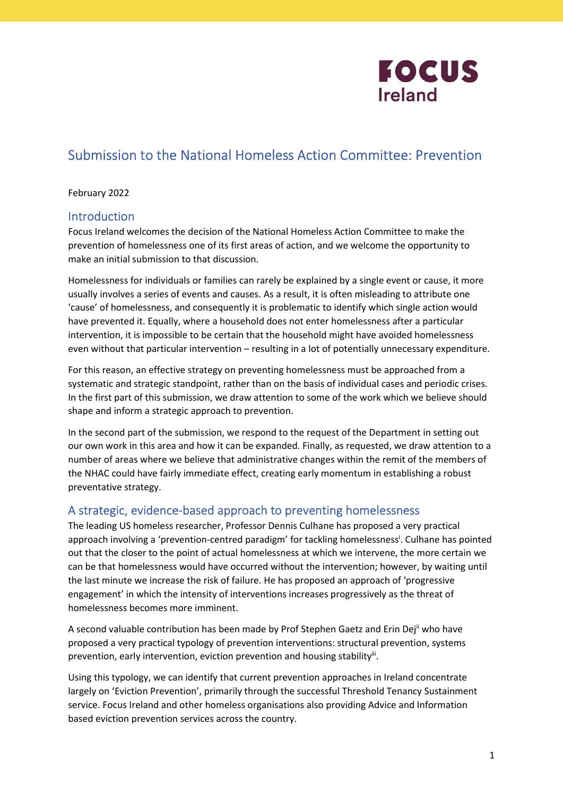

# Submission to the National Homeless Action Committee: Prevention

## February 2022

# Introduction

Focus Ireland welcomes the decision of the National Homeless Action Committee to make the prevention of homelessness one of its first areas of action, and we welcome the opportunity to make an initial submission to that discussion.

Homelessness for individuals or families can rarely be explained by a single event or cause, it more usually involves a series of events and causes. As a result, it is often misleading to attribute one 'cause' of homelessness, and consequently it is problematic to identify which single action would have prevented it. Equally, where a household does not enter homelessness after a particular intervention, it is impossible to be certain that the household might have avoided homelessness even without that particular intervention – resulting in a lot of potentially unnecessary expenditure.

For this reason, an effective strategy on preventing homelessness must be approached from a systematic and strategic standpoint, rather than on the basis of individual cases and periodic crises. In the first part of this submission, we draw attention to some of the work which we believe should shape and inform a strategic approach to prevention.

In the second part of the submission, we respond to the request of the Department in setting out our own work in this area and how it can be expanded. Finally, as requested, we draw attention to a number of areas where we believe that administrative changes within the remit of the members of the NHAC could have fairly immediate effect, creating early momentum in establishing a robust preventative strategy.

# A strategic, evidence-based approach to preventing homelessness

The leading US homeless researcher, Professor Dennis Culhane has proposed a very practical approach involving a 'prevention-centred paradigm' for tackling homelessness<sup>i</sup>. Culhane has pointed out that the closer to the point of actual homelessness at which we intervene, the more certain we can be that homelessness would have occurred without the intervention; however, by waiting until the last minute we increase the risk of failure. He has proposed an approach of 'progressive engagement' in which the intensity of interventions increases progressively as the threat of homelessness becomes more imminent.

A second valuable contribution has been made by Prof Stephen Gaetz and Erin Dejl who have proposed a very practical typology of prevention interventions: structural prevention, systems prevention, early intervention, eviction prevention and housing stability<sup>ii</sup>.

Using this typology, we can identify that current prevention approaches in Ireland concentrate largely on 'Eviction Prevention', primarily through the successful Threshold Tenancy Sustainment service. Focus Ireland and other homeless organisations also providing Advice and Information based eviction prevention services across the country.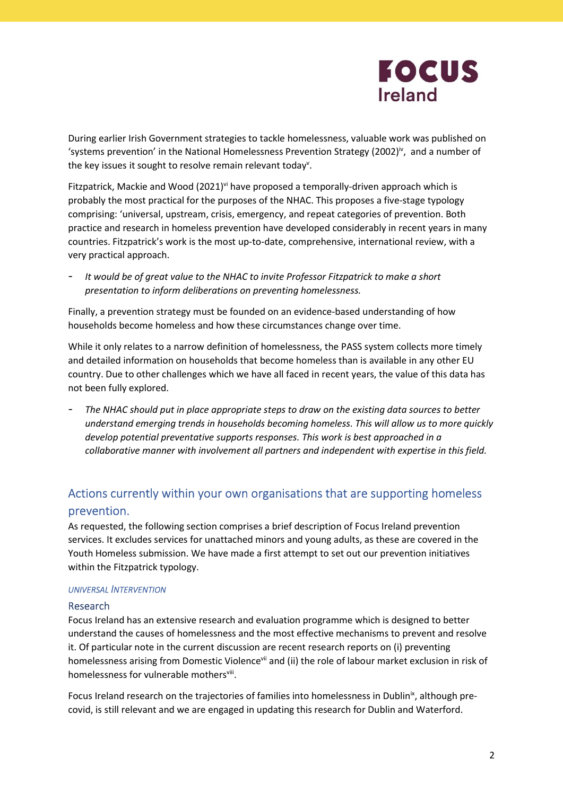

During earlier Irish Government strategies to tackle homelessness, valuable work was published on 'systems prevention' in the National Homelessness Prevention Strategy (2002) $\dot{v}$ , and a number of the key issues it sought to resolve remain relevant today<sup>v</sup>.

Fitzpatrick, Mackie and Wood (2021)<sup>vi</sup> have proposed a temporally-driven approach which is probably the most practical for the purposes of the NHAC. This proposes a five-stage typology comprising: 'universal, upstream, crisis, emergency, and repeat categories of prevention. Both practice and research in homeless prevention have developed considerably in recent years in many countries. Fitzpatrick's work is the most up-to-date, comprehensive, international review, with a very practical approach.

It would be of great value to the NHAC to invite Professor Fitzpatrick to make a short presentation to inform deliberations on preventing homelessness.

Finally, a prevention strategy must be founded on an evidence-based understanding of how households become homeless and how these circumstances change over time.

While it only relates to a narrow definition of homelessness, the PASS system collects more timely and detailed information on households that become homeless than is available in any other EU country. Due to other challenges which we have all faced in recent years, the value of this data has not been fully explored.

The NHAC should put in place appropriate steps to draw on the existing data sources to better understand emerging trends in households becoming homeless. This will allow us to more quickly develop potential preventative supports responses. This work is best approached in a collaborative manner with involvement all partners and independent with expertise in this field.

# Actions currently within your own organisations that are supporting homeless prevention.

As requested, the following section comprises a brief description of Focus Ireland prevention services. It excludes services for unattached minors and young adults, as these are covered in the Youth Homeless submission. We have made a first attempt to set out our prevention initiatives within the Fitzpatrick typology.

### UNIVERSAL INTERVENTION

### Research

Focus Ireland has an extensive research and evaluation programme which is designed to better understand the causes of homelessness and the most effective mechanisms to prevent and resolve it. Of particular note in the current discussion are recent research reports on (i) preventing homelessness arising from Domestic Violence<sup>vii</sup> and (ii) the role of labour market exclusion in risk of homelessness for vulnerable mothersviii.

Focus Ireland research on the trajectories of families into homelessness in Dublin<sup>ix</sup>, although precovid, is still relevant and we are engaged in updating this research for Dublin and Waterford.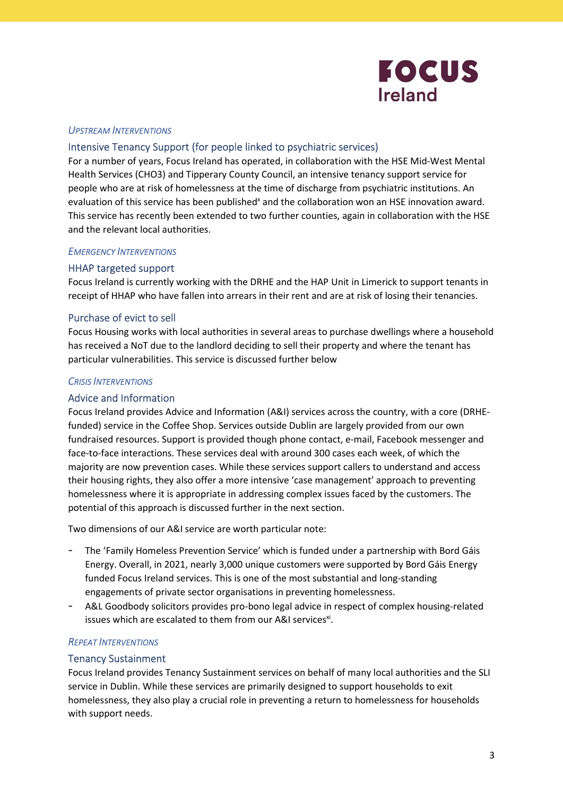

### UPSTREAM INTERVENTIONS

# Intensive Tenancy Support (for people linked to psychiatric services)

For a number of years, Focus Ireland has operated, in collaboration with the HSE Mid-West Mental Health Services (CHO3) and Tipperary County Council, an intensive tenancy support service for people who are at risk of homelessness at the time of discharge from psychiatric institutions. An evaluation of this service has been published<sup>x</sup> and the collaboration won an HSE innovation award. This service has recently been extended to two further counties, again in collaboration with the HSE and the relevant local authorities.

### EMERGENCY INTERVENTIONS

# HHAP targeted support

Focus Ireland is currently working with the DRHE and the HAP Unit in Limerick to support tenants in receipt of HHAP who have fallen into arrears in their rent and are at risk of losing their tenancies.

# Purchase of evict to sell

Focus Housing works with local authorities in several areas to purchase dwellings where a household has received a NoT due to the landlord deciding to sell their property and where the tenant has particular vulnerabilities. This service is discussed further below

### CRISIS INTERVENTIONS

### Advice and Information

Focus Ireland provides Advice and Information (A&I) services across the country, with a core (DRHEfunded) service in the Coffee Shop. Services outside Dublin are largely provided from our own fundraised resources. Support is provided though phone contact, e-mail, Facebook messenger and face-to-face interactions. These services deal with around 300 cases each week, of which the majority are now prevention cases. While these services support callers to understand and access their housing rights, they also offer a more intensive 'case management' approach to preventing homelessness where it is appropriate in addressing complex issues faced by the customers. The potential of this approach is discussed further in the next section.

Two dimensions of our A&I service are worth particular note:

- The 'Family Homeless Prevention Service' which is funded under a partnership with Bord Gáis Energy. Overall, in 2021, nearly 3,000 unique customers were supported by Bord Gáis Energy funded Focus Ireland services. This is one of the most substantial and long-standing engagements of private sector organisations in preventing homelessness.
- A&L Goodbody solicitors provides pro-bono legal advice in respect of complex housing-related issues which are escalated to them from our A&I services<sup>xi</sup>.

### REPEAT INTERVENTIONS

### Tenancy Sustainment

Focus Ireland provides Tenancy Sustainment services on behalf of many local authorities and the SLI service in Dublin. While these services are primarily designed to support households to exit homelessness, they also play a crucial role in preventing a return to homelessness for households with support needs.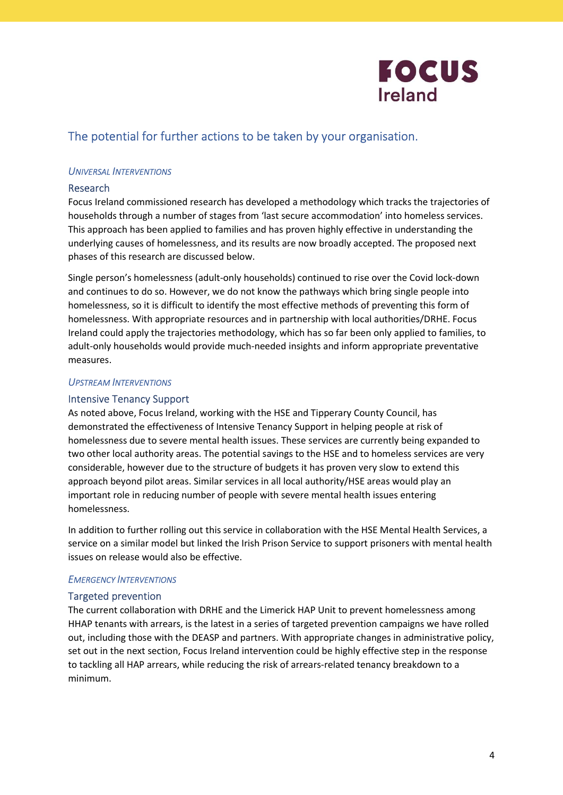

# The potential for further actions to be taken by your organisation.

# UNIVERSAL INTERVENTIONS

## Research

Focus Ireland commissioned research has developed a methodology which tracks the trajectories of households through a number of stages from 'last secure accommodation' into homeless services. This approach has been applied to families and has proven highly effective in understanding the underlying causes of homelessness, and its results are now broadly accepted. The proposed next phases of this research are discussed below.

Single person's homelessness (adult-only households) continued to rise over the Covid lock-down and continues to do so. However, we do not know the pathways which bring single people into homelessness, so it is difficult to identify the most effective methods of preventing this form of homelessness. With appropriate resources and in partnership with local authorities/DRHE. Focus Ireland could apply the trajectories methodology, which has so far been only applied to families, to adult-only households would provide much-needed insights and inform appropriate preventative measures.

### UPSTREAM INTERVENTIONS

### Intensive Tenancy Support

As noted above, Focus Ireland, working with the HSE and Tipperary County Council, has demonstrated the effectiveness of Intensive Tenancy Support in helping people at risk of homelessness due to severe mental health issues. These services are currently being expanded to two other local authority areas. The potential savings to the HSE and to homeless services are very considerable, however due to the structure of budgets it has proven very slow to extend this approach beyond pilot areas. Similar services in all local authority/HSE areas would play an important role in reducing number of people with severe mental health issues entering homelessness.

In addition to further rolling out this service in collaboration with the HSE Mental Health Services, a service on a similar model but linked the Irish Prison Service to support prisoners with mental health issues on release would also be effective.

### EMERGENCY INTERVENTIONS

### Targeted prevention

The current collaboration with DRHE and the Limerick HAP Unit to prevent homelessness among HHAP tenants with arrears, is the latest in a series of targeted prevention campaigns we have rolled out, including those with the DEASP and partners. With appropriate changes in administrative policy, set out in the next section, Focus Ireland intervention could be highly effective step in the response to tackling all HAP arrears, while reducing the risk of arrears-related tenancy breakdown to a minimum.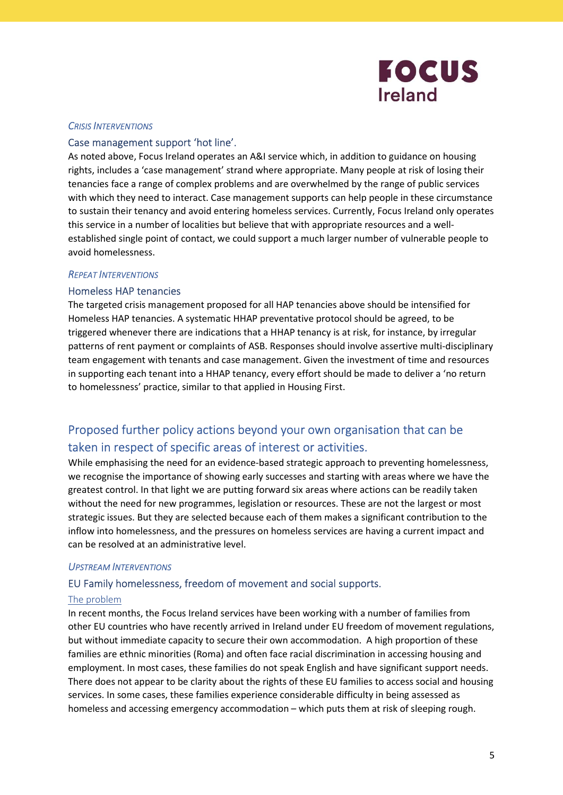

### CRISIS INTERVENTIONS

## Case management support 'hot line'.

As noted above, Focus Ireland operates an A&I service which, in addition to guidance on housing rights, includes a 'case management' strand where appropriate. Many people at risk of losing their tenancies face a range of complex problems and are overwhelmed by the range of public services with which they need to interact. Case management supports can help people in these circumstance to sustain their tenancy and avoid entering homeless services. Currently, Focus Ireland only operates this service in a number of localities but believe that with appropriate resources and a wellestablished single point of contact, we could support a much larger number of vulnerable people to avoid homelessness.

### REPEAT INTERVENTIONS

### Homeless HAP tenancies

The targeted crisis management proposed for all HAP tenancies above should be intensified for Homeless HAP tenancies. A systematic HHAP preventative protocol should be agreed, to be triggered whenever there are indications that a HHAP tenancy is at risk, for instance, by irregular patterns of rent payment or complaints of ASB. Responses should involve assertive multi-disciplinary team engagement with tenants and case management. Given the investment of time and resources in supporting each tenant into a HHAP tenancy, every effort should be made to deliver a 'no return to homelessness' practice, similar to that applied in Housing First.

# Proposed further policy actions beyond your own organisation that can be taken in respect of specific areas of interest or activities.

While emphasising the need for an evidence-based strategic approach to preventing homelessness, we recognise the importance of showing early successes and starting with areas where we have the greatest control. In that light we are putting forward six areas where actions can be readily taken without the need for new programmes, legislation or resources. These are not the largest or most strategic issues. But they are selected because each of them makes a significant contribution to the inflow into homelessness, and the pressures on homeless services are having a current impact and can be resolved at an administrative level.

#### UPSTREAM INTERVENTIONS

### EU Family homelessness, freedom of movement and social supports.

#### The problem

In recent months, the Focus Ireland services have been working with a number of families from other EU countries who have recently arrived in Ireland under EU freedom of movement regulations, but without immediate capacity to secure their own accommodation. A high proportion of these families are ethnic minorities (Roma) and often face racial discrimination in accessing housing and employment. In most cases, these families do not speak English and have significant support needs. There does not appear to be clarity about the rights of these EU families to access social and housing services. In some cases, these families experience considerable difficulty in being assessed as homeless and accessing emergency accommodation – which puts them at risk of sleeping rough.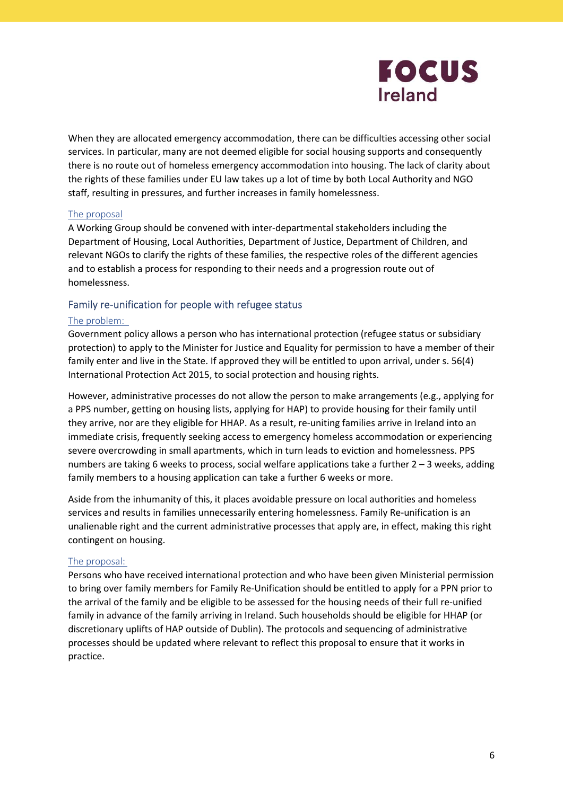

When they are allocated emergency accommodation, there can be difficulties accessing other social services. In particular, many are not deemed eligible for social housing supports and consequently there is no route out of homeless emergency accommodation into housing. The lack of clarity about the rights of these families under EU law takes up a lot of time by both Local Authority and NGO staff, resulting in pressures, and further increases in family homelessness.

# The proposal

A Working Group should be convened with inter-departmental stakeholders including the Department of Housing, Local Authorities, Department of Justice, Department of Children, and relevant NGOs to clarify the rights of these families, the respective roles of the different agencies and to establish a process for responding to their needs and a progression route out of homelessness.

# Family re-unification for people with refugee status

### The problem:

Government policy allows a person who has international protection (refugee status or subsidiary protection) to apply to the Minister for Justice and Equality for permission to have a member of their family enter and live in the State. If approved they will be entitled to upon arrival, under s. 56(4) International Protection Act 2015, to social protection and housing rights.

However, administrative processes do not allow the person to make arrangements (e.g., applying for a PPS number, getting on housing lists, applying for HAP) to provide housing for their family until they arrive, nor are they eligible for HHAP. As a result, re-uniting families arrive in Ireland into an immediate crisis, frequently seeking access to emergency homeless accommodation or experiencing severe overcrowding in small apartments, which in turn leads to eviction and homelessness. PPS numbers are taking 6 weeks to process, social welfare applications take a further 2 – 3 weeks, adding family members to a housing application can take a further 6 weeks or more.

Aside from the inhumanity of this, it places avoidable pressure on local authorities and homeless services and results in families unnecessarily entering homelessness. Family Re-unification is an unalienable right and the current administrative processes that apply are, in effect, making this right contingent on housing.

### The proposal:

Persons who have received international protection and who have been given Ministerial permission to bring over family members for Family Re-Unification should be entitled to apply for a PPN prior to the arrival of the family and be eligible to be assessed for the housing needs of their full re-unified family in advance of the family arriving in Ireland. Such households should be eligible for HHAP (or discretionary uplifts of HAP outside of Dublin). The protocols and sequencing of administrative processes should be updated where relevant to reflect this proposal to ensure that it works in practice.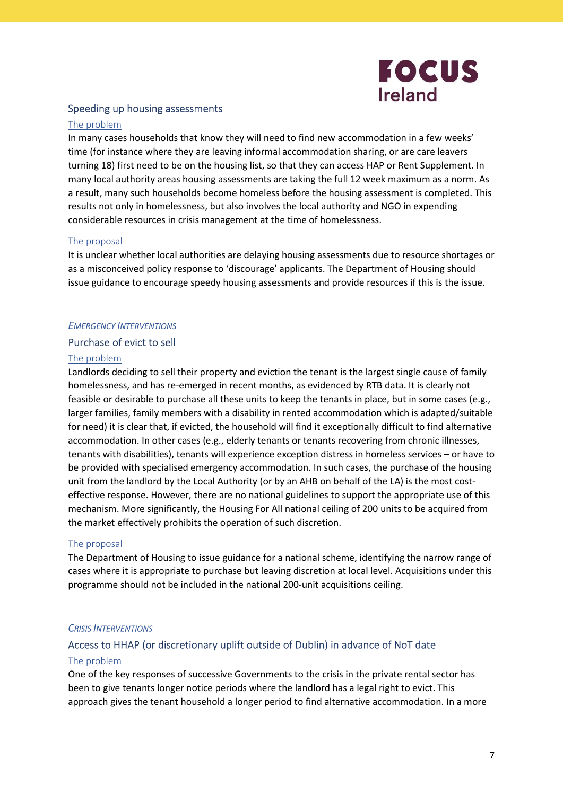

# Speeding up housing assessments

### The problem

In many cases households that know they will need to find new accommodation in a few weeks' time (for instance where they are leaving informal accommodation sharing, or are care leavers turning 18) first need to be on the housing list, so that they can access HAP or Rent Supplement. In many local authority areas housing assessments are taking the full 12 week maximum as a norm. As a result, many such households become homeless before the housing assessment is completed. This results not only in homelessness, but also involves the local authority and NGO in expending considerable resources in crisis management at the time of homelessness.

### The proposal

It is unclear whether local authorities are delaying housing assessments due to resource shortages or as a misconceived policy response to 'discourage' applicants. The Department of Housing should issue guidance to encourage speedy housing assessments and provide resources if this is the issue.

# EMERGENCY INTERVENTIONS

### Purchase of evict to sell

### The problem

Landlords deciding to sell their property and eviction the tenant is the largest single cause of family homelessness, and has re-emerged in recent months, as evidenced by RTB data. It is clearly not feasible or desirable to purchase all these units to keep the tenants in place, but in some cases (e.g., larger families, family members with a disability in rented accommodation which is adapted/suitable for need) it is clear that, if evicted, the household will find it exceptionally difficult to find alternative accommodation. In other cases (e.g., elderly tenants or tenants recovering from chronic illnesses, tenants with disabilities), tenants will experience exception distress in homeless services – or have to be provided with specialised emergency accommodation. In such cases, the purchase of the housing unit from the landlord by the Local Authority (or by an AHB on behalf of the LA) is the most costeffective response. However, there are no national guidelines to support the appropriate use of this mechanism. More significantly, the Housing For All national ceiling of 200 units to be acquired from the market effectively prohibits the operation of such discretion.

### The proposal

The Department of Housing to issue guidance for a national scheme, identifying the narrow range of cases where it is appropriate to purchase but leaving discretion at local level. Acquisitions under this programme should not be included in the national 200-unit acquisitions ceiling.

### CRISIS INTERVENTIONS

### Access to HHAP (or discretionary uplift outside of Dublin) in advance of NoT date

#### The problem

One of the key responses of successive Governments to the crisis in the private rental sector has been to give tenants longer notice periods where the landlord has a legal right to evict. This approach gives the tenant household a longer period to find alternative accommodation. In a more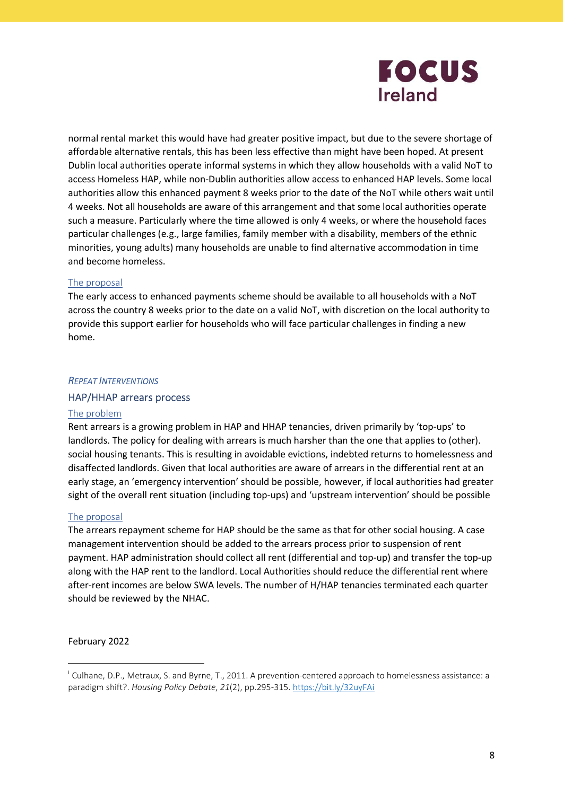

normal rental market this would have had greater positive impact, but due to the severe shortage of affordable alternative rentals, this has been less effective than might have been hoped. At present Dublin local authorities operate informal systems in which they allow households with a valid NoT to access Homeless HAP, while non-Dublin authorities allow access to enhanced HAP levels. Some local authorities allow this enhanced payment 8 weeks prior to the date of the NoT while others wait until 4 weeks. Not all households are aware of this arrangement and that some local authorities operate such a measure. Particularly where the time allowed is only 4 weeks, or where the household faces particular challenges (e.g., large families, family member with a disability, members of the ethnic minorities, young adults) many households are unable to find alternative accommodation in time and become homeless.

### The proposal

The early access to enhanced payments scheme should be available to all households with a NoT across the country 8 weeks prior to the date on a valid NoT, with discretion on the local authority to provide this support earlier for households who will face particular challenges in finding a new home.

### REPEAT INTERVENTIONS

### HAP/HHAP arrears process

### The problem

Rent arrears is a growing problem in HAP and HHAP tenancies, driven primarily by 'top-ups' to landlords. The policy for dealing with arrears is much harsher than the one that applies to (other). social housing tenants. This is resulting in avoidable evictions, indebted returns to homelessness and disaffected landlords. Given that local authorities are aware of arrears in the differential rent at an early stage, an 'emergency intervention' should be possible, however, if local authorities had greater sight of the overall rent situation (including top-ups) and 'upstream intervention' should be possible

### The proposal

The arrears repayment scheme for HAP should be the same as that for other social housing. A case management intervention should be added to the arrears process prior to suspension of rent payment. HAP administration should collect all rent (differential and top-up) and transfer the top-up along with the HAP rent to the landlord. Local Authorities should reduce the differential rent where after-rent incomes are below SWA levels. The number of H/HAP tenancies terminated each quarter should be reviewed by the NHAC.

February 2022

<sup>&</sup>lt;sup>i</sup> Culhane, D.P., Metraux, S. and Byrne, T., 2011. A prevention-centered approach to homelessness assistance: a paradigm shift?. Housing Policy Debate, 21(2), pp.295-315. https://bit.ly/32uyFAi